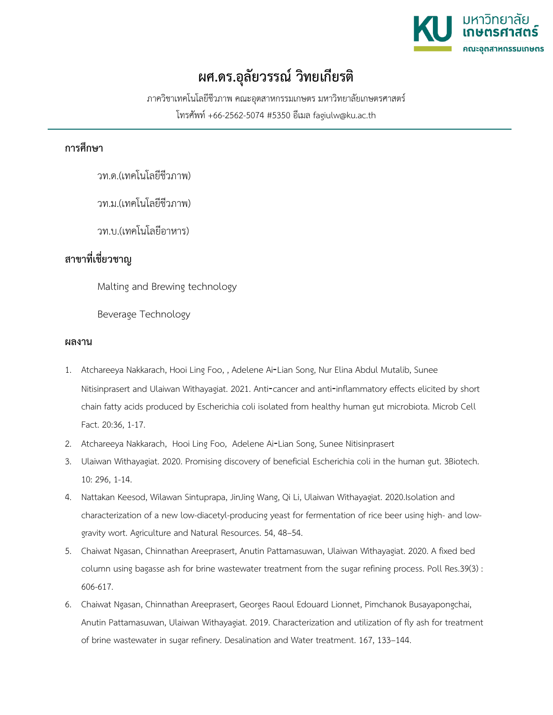

## **ผศ.ดร.อุลัยวรรณ์ วิทยเกียรติ**

ภาควิชาเทคโนโลยีชีวภาพ คณะอุตสาหกรรมเกษตร มหาวิทยาลัยเกษตรศาสตร์

โทรศัพท์ +66-2562-5074 #5350 อีเมล fagiulw@ku.ac.th

## **การศึกษา**

วท.ด.(เทคโนโลยีชีวภาพ)

วท.ม.(เทคโนโลยีชีวภาพ)

วท.บ.(เทคโนโลยีอาหาร)

## **สาขาที่เชี่ยวชาญ**

Malting and Brewing technology

Beverage Technology

## **ผลงาน**

- 1. Atchareeya Nakkarach, Hooi Ling Foo, , Adelene Ai-Lian Song, Nur Elina Abdul Mutalib, Sunee Nitisinprasert and Ulaiwan Withayagiat. 2021. Anti-cancer and anti-inflammatory effects elicited by short chain fatty acids produced by Escherichia coli isolated from healthy human gut microbiota. Microb Cell Fact. 20:36, 1-17.
- 2. Atchareeya Nakkarach, Hooi Ling Foo, Adelene Ai-Lian Song, Sunee Nitisinprasert
- 3. Ulaiwan Withayagiat. 2020. Promising discovery of beneficial Escherichia coli in the human gut. 3Biotech. 10: 296, 1-14.
- 4. Nattakan Keesod, Wilawan Sintuprapa, JinJing Wang, Qi Li, Ulaiwan Withayagiat. 2020.Isolation and characterization of a new low-diacetyl-producing yeast for fermentation of rice beer using high- and lowgravity wort. Agriculture and Natural Resources. 54, 48–54.
- 5. Chaiwat Ngasan, Chinnathan Areeprasert, Anutin Pattamasuwan, Ulaiwan Withayagiat. 2020. A fixed bed column using bagasse ash for brine wastewater treatment from the sugar refining process. Poll Res.39(3) : 606-617.
- 6. Chaiwat Ngasan, Chinnathan Areeprasert, Georges Raoul Edouard Lionnet, Pimchanok Busayapongchai, Anutin Pattamasuwan, Ulaiwan Withayagiat. 2019. Characterization and utilization of fly ash for treatment of brine wastewater in sugar refinery. Desalination and Water treatment. 167, 133–144.